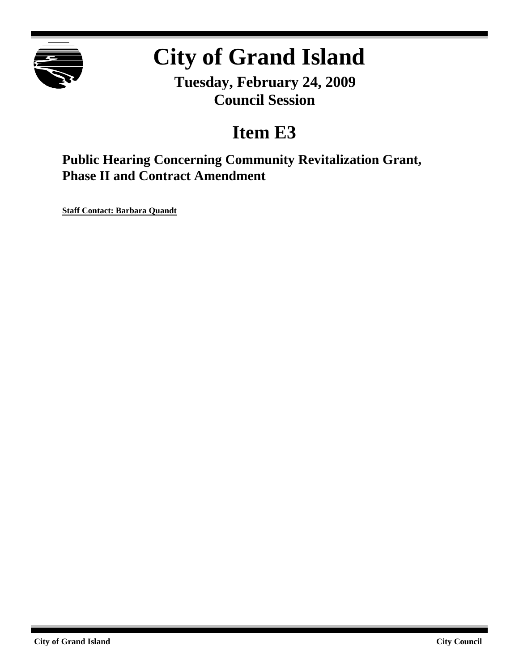

# **City of Grand Island**

**Tuesday, February 24, 2009 Council Session**

## **Item E3**

**Public Hearing Concerning Community Revitalization Grant, Phase II and Contract Amendment**

**Staff Contact: Barbara Quandt**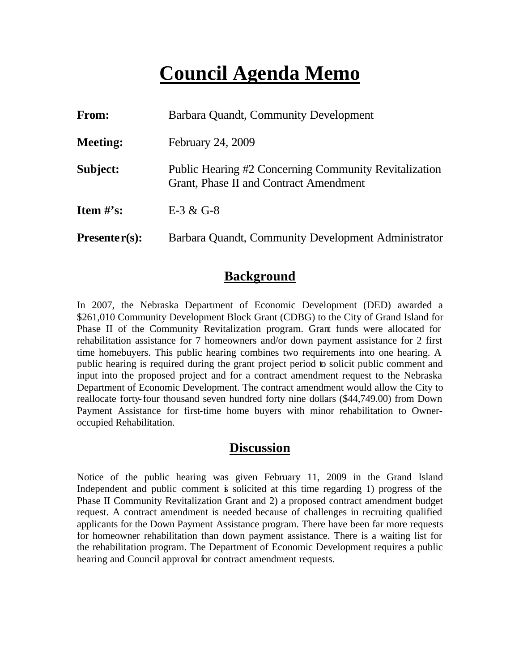## **Council Agenda Memo**

| From:                          | Barbara Quandt, Community Development                                                                  |  |  |
|--------------------------------|--------------------------------------------------------------------------------------------------------|--|--|
| <b>Meeting:</b>                | February 24, 2009                                                                                      |  |  |
| Subject:                       | <b>Public Hearing #2 Concerning Community Revitalization</b><br>Grant, Phase II and Contract Amendment |  |  |
| <b>Item <math>\#</math>'s:</b> | $E-3 & G-8$                                                                                            |  |  |
| $Presenter(s):$                | Barbara Quandt, Community Development Administrator                                                    |  |  |

### **Background**

In 2007, the Nebraska Department of Economic Development (DED) awarded a \$261,010 Community Development Block Grant (CDBG) to the City of Grand Island for Phase II of the Community Revitalization program. Grant funds were allocated for rehabilitation assistance for 7 homeowners and/or down payment assistance for 2 first time homebuyers. This public hearing combines two requirements into one hearing. A public hearing is required during the grant project period to solicit public comment and input into the proposed project and for a contract amendment request to the Nebraska Department of Economic Development. The contract amendment would allow the City to reallocate forty-four thousand seven hundred forty nine dollars (\$44,749.00) from Down Payment Assistance for first-time home buyers with minor rehabilitation to Owneroccupied Rehabilitation.

### **Discussion**

Notice of the public hearing was given February 11, 2009 in the Grand Island Independent and public comment is solicited at this time regarding 1) progress of the Phase II Community Revitalization Grant and 2) a proposed contract amendment budget request. A contract amendment is needed because of challenges in recruiting qualified applicants for the Down Payment Assistance program. There have been far more requests for homeowner rehabilitation than down payment assistance. There is a waiting list for the rehabilitation program. The Department of Economic Development requires a public hearing and Council approval for contract amendment requests.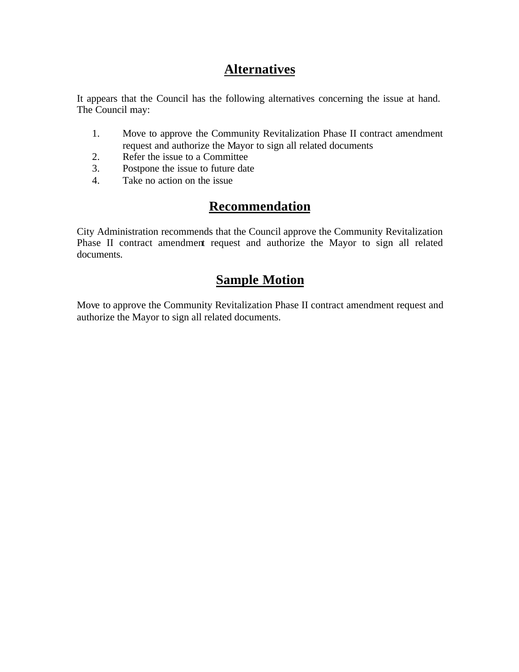## **Alternatives**

It appears that the Council has the following alternatives concerning the issue at hand. The Council may:

- 1. Move to approve the Community Revitalization Phase II contract amendment request and authorize the Mayor to sign all related documents
- 2. Refer the issue to a Committee
- 3. Postpone the issue to future date
- 4. Take no action on the issue

## **Recommendation**

City Administration recommends that the Council approve the Community Revitalization Phase II contract amendment request and authorize the Mayor to sign all related documents.

### **Sample Motion**

Move to approve the Community Revitalization Phase II contract amendment request and authorize the Mayor to sign all related documents.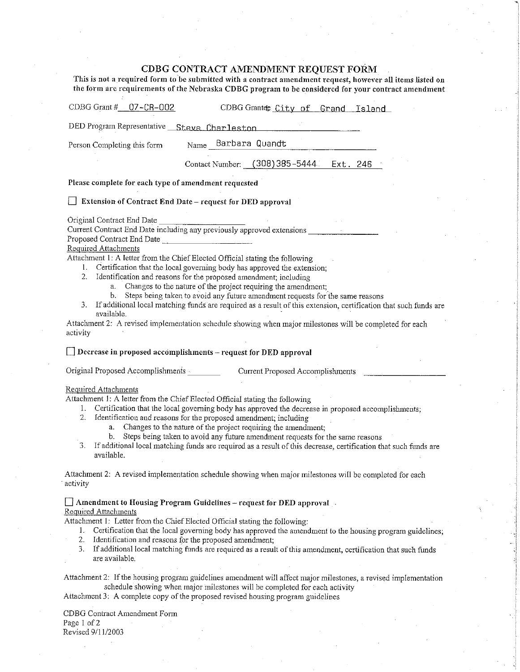#### CDBG CONTRACT AMENDMENT REQUEST FORM

This is not a required form to be submitted with a contract amendment request, however all items listed on the form are requirements of the Nebraska CDBG program to be considered for your contract amendment

| CDBG Grant #_07-CR-002<br>CDBG Grantee City of Grand Island                                                                                                                                                                                                                                                                                                                                                                                                                                                                                                                                                                                                                                                                                                                                                                       |
|-----------------------------------------------------------------------------------------------------------------------------------------------------------------------------------------------------------------------------------------------------------------------------------------------------------------------------------------------------------------------------------------------------------------------------------------------------------------------------------------------------------------------------------------------------------------------------------------------------------------------------------------------------------------------------------------------------------------------------------------------------------------------------------------------------------------------------------|
| DED Program Representative __ Steve Charleston                                                                                                                                                                                                                                                                                                                                                                                                                                                                                                                                                                                                                                                                                                                                                                                    |
| Name Barbara Quandt<br>Person Completing this form                                                                                                                                                                                                                                                                                                                                                                                                                                                                                                                                                                                                                                                                                                                                                                                |
| Contact Number: (308) 385-5444. Ext. 246                                                                                                                                                                                                                                                                                                                                                                                                                                                                                                                                                                                                                                                                                                                                                                                          |
| Please complete for each type of amendment requested                                                                                                                                                                                                                                                                                                                                                                                                                                                                                                                                                                                                                                                                                                                                                                              |
| $\Box$ Extension of Contract End Date – request for DED approval                                                                                                                                                                                                                                                                                                                                                                                                                                                                                                                                                                                                                                                                                                                                                                  |
| Original Contract End Date<br>Current Contract End Date including any previously approved extensions<br>Proposed Contract End Date<br><b>Required Attachments</b><br>Attachment 1: A letter from the Chief Elected Official stating the following<br>1. Certification that the local governing body has approved the extension;<br>2. Identification and reasons for the proposed amendment; including<br>Changes to the nature of the project requiring the amendment;<br>a.<br>b. Steps being taken to avoid any future amendment requests for the same reasons<br>If additional local matching funds are required as a result of this extension, certification that such funds are<br>3.<br>available.<br>Attachment 2: A revised implementation schedule showing when major milestones will be completed for each<br>activity |
| $\Box$ Decrease in proposed accomplishments - request for DED approval                                                                                                                                                                                                                                                                                                                                                                                                                                                                                                                                                                                                                                                                                                                                                            |
| Original Proposed Accomplishments Current Proposed Accomplishments<br>Required Attachments<br>Attachment 1: A letter from the Chief Elected Official stating the following<br>1. Certification that the local governing body has approved the decrease in proposed accomplishments;<br>2. Identification and reasons for the proposed amendment; including<br>Changes to the nature of the project requiring the amendment;<br>a.<br>Steps being taken to avoid any future amendment requests for the same reasons<br>b.<br>If additional local matching funds are required as a result of this decrease, certification that such funds are<br>3.<br>available.                                                                                                                                                                   |
| Attachment 2: A revised implementation schedule showing when major milestones will be completed for each<br>activity                                                                                                                                                                                                                                                                                                                                                                                                                                                                                                                                                                                                                                                                                                              |
| $\Box$ Amendment to Housing Program Guidelines - request for DED approval<br>Required Attachments<br>Attachment 1: Letter from the Chief Elected Official stating the following:<br>Certification that the local governing body has approved the amendment to the housing program guidelines;<br>1.<br>2.<br>Identification and reasons for the proposed amendment;<br>3.<br>If additional local matching funds are required as a result of this amendment, certification that such funds<br>are available.                                                                                                                                                                                                                                                                                                                       |

Attachment 2: If the housing program guidelines amendment will affect major milestones, a revised implementation schedule showing when major milestones will be completed for each activity

Attachment 3: A complete copy of the proposed revised housing program guidelines

CDBG Contract Amendment Form Page 1 of 2 Revised 9/11/2003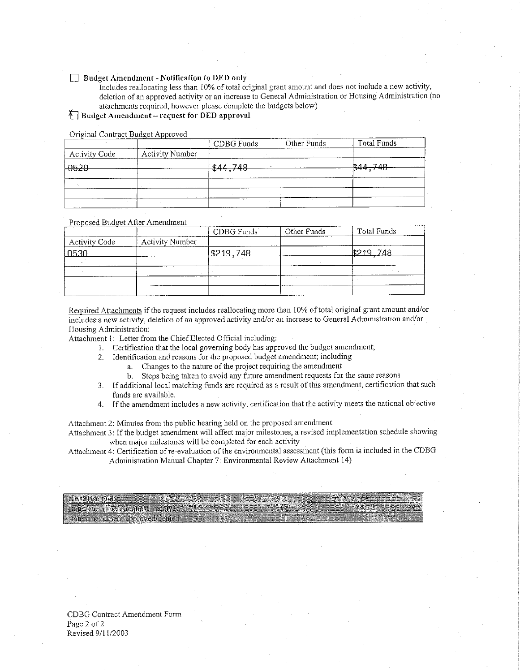#### $\Box$  Budget Amendment - Notification to DED only

Includes reallocating less than 10% of total original grant amount and does not include a new activity, deletion of an approved activity or an increase to General Administration or Housing Administration (no attachments required, however please complete the budgets below)

#### $\bigwedge$  Budget Amendment – request for DED approval

Original Contract Budget Approved

|                        | CDBG Funds | Other Funds | Total Funds |
|------------------------|------------|-------------|-------------|
| <b>Activity Number</b> |            |             |             |
|                        |            |             | \$44,748    |
|                        |            |             |             |
|                        |            |             |             |
|                        |            |             |             |
|                        |            |             |             |
|                        |            | \$44,748    |             |

Proposed Budget After Amendment

|               |                        | CDBG Funds | Other Funds | Total Funds |
|---------------|------------------------|------------|-------------|-------------|
| Activity Code | <b>Activity Number</b> |            |             |             |
| חרמה          |                        | 19219.748  |             | 748         |
|               |                        |            |             |             |
|               |                        |            |             |             |
|               |                        |            |             |             |
|               |                        |            |             |             |

Required Attachments if the request includes reallocating more than 10% of total original grant amount and/or includes a new activity, deletion of an approved activity and/or an increase to General Administration and/or Housing Administration:

Attachment 1: Letter from the Chief Elected Official including:

- 1. Certification that the local governing body has approved the budget amendment;
- Identification and reasons for the proposed budget amendment; including  $2.$ 
	- a. Changes to the nature of the project requiring the amendment
	- Steps being taken to avoid any future amendment requests for the same reasons  $b.$
- If additional local matching funds are required as a result of this amendment, certification that such  $3<sub>1</sub>$ funds are available.
- 4. If the amendment includes a new activity, certification that the activity meets the national objective

Attachment 2: Minutes from the public hearing held on the proposed amendment

Attachment 3: If the budget amendment will affect major milestones, a revised implementation schedule showing when major milestones will be completed for each activity

Attachment 4: Certification of re-evaluation of the environmental assessment (this form is included in the CDBG Administration Manual Chapter 7: Environmental Review Attachment 14)

**DFD Use Only** Date amendment request received - Date amendment approved denied

CDBG Contract Amendment Form Page 2 of 2 Revised 9/11/2003